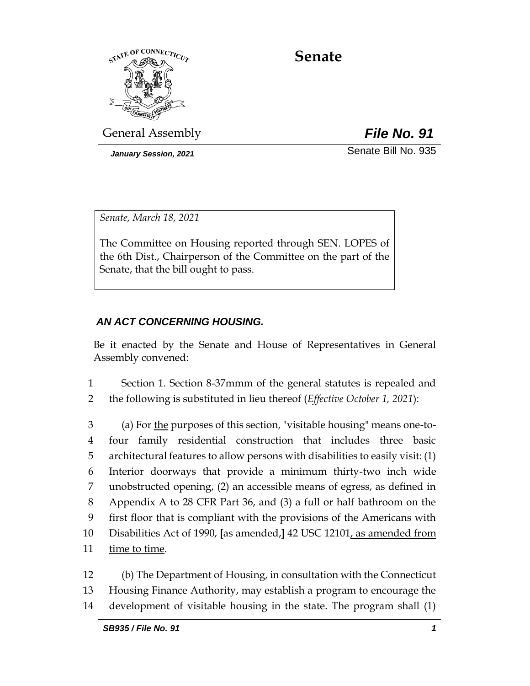

# **Senate**

General Assembly *File No. 91*

*January Session, 2021* Senate Bill No. 935

*Senate, March 18, 2021*

The Committee on Housing reported through SEN. LOPES of the 6th Dist., Chairperson of the Committee on the part of the Senate, that the bill ought to pass.

## *AN ACT CONCERNING HOUSING.*

Be it enacted by the Senate and House of Representatives in General Assembly convened:

- 1 Section 1. Section 8-37mmm of the general statutes is repealed and
- 2 the following is substituted in lieu thereof (*Effective October 1, 2021*):

 (a) For the purposes of this section, "visitable housing" means one-to- four family residential construction that includes three basic architectural features to allow persons with disabilities to easily visit: (1) Interior doorways that provide a minimum thirty-two inch wide unobstructed opening, (2) an accessible means of egress, as defined in Appendix A to 28 CFR Part 36, and (3) a full or half bathroom on the first floor that is compliant with the provisions of the Americans with Disabilities Act of 1990, **[**as amended,**]** 42 USC 12101, as amended from time to time.

12 (b) The Department of Housing, in consultation with the Connecticut 13 Housing Finance Authority, may establish a program to encourage the 14 development of visitable housing in the state. The program shall (1)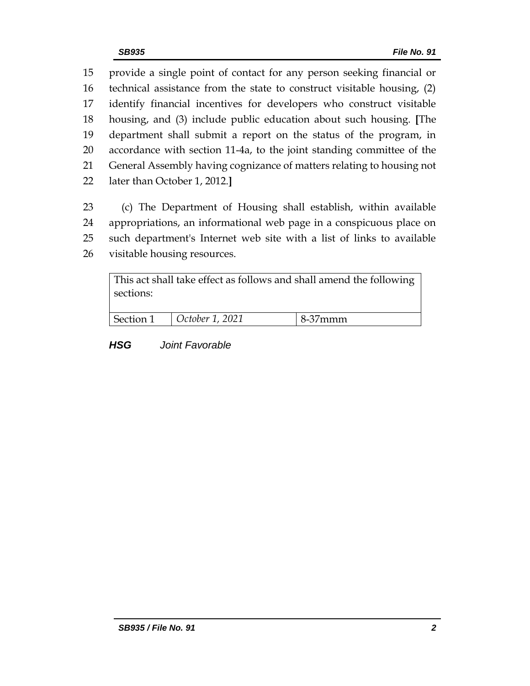provide a single point of contact for any person seeking financial or technical assistance from the state to construct visitable housing, (2) identify financial incentives for developers who construct visitable housing, and (3) include public education about such housing. **[**The department shall submit a report on the status of the program, in accordance with section 11-4a, to the joint standing committee of the General Assembly having cognizance of matters relating to housing not later than October 1, 2012.**]**

 (c) The Department of Housing shall establish, within available appropriations, an informational web page in a conspicuous place on such department's Internet web site with a list of links to available visitable housing resources.

| This act shall take effect as follows and shall amend the following<br>sections: |                 |         |
|----------------------------------------------------------------------------------|-----------------|---------|
| Section 1                                                                        | October 1, 2021 | 8-37mmm |

*HSG Joint Favorable*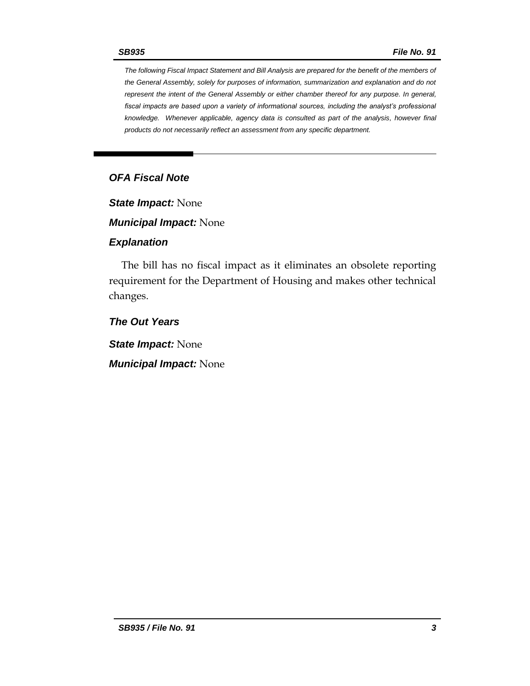*The following Fiscal Impact Statement and Bill Analysis are prepared for the benefit of the members of the General Assembly, solely for purposes of information, summarization and explanation and do not represent the intent of the General Assembly or either chamber thereof for any purpose. In general, fiscal impacts are based upon a variety of informational sources, including the analyst's professional knowledge. Whenever applicable, agency data is consulted as part of the analysis, however final products do not necessarily reflect an assessment from any specific department.*

## *OFA Fiscal Note*

*State Impact:* None

*Municipal Impact:* None

#### *Explanation*

The bill has no fiscal impact as it eliminates an obsolete reporting requirement for the Department of Housing and makes other technical changes.

*The Out Years*

*State Impact:* None

*Municipal Impact:* None